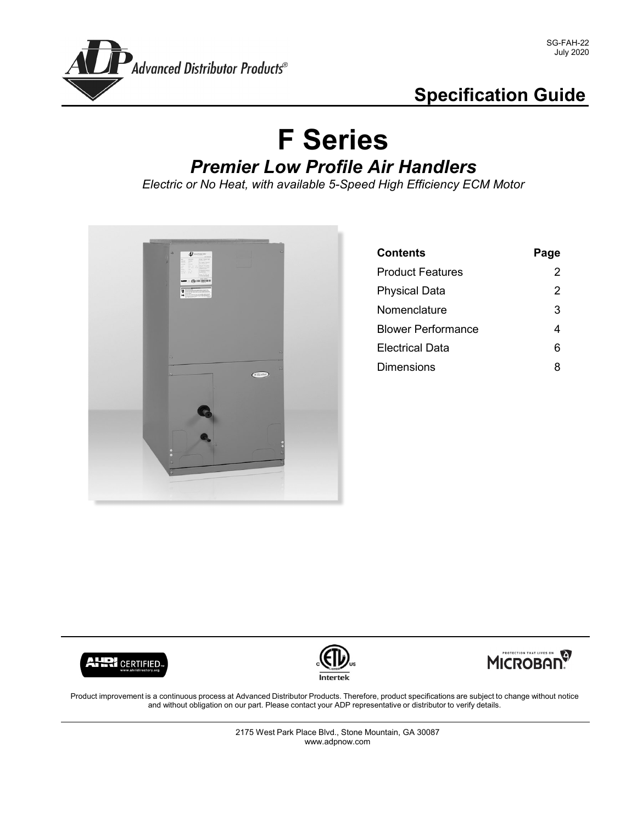

## **Specification Guide**

# **F Series** *Premier Low Profile Air Handlers*

*Electric or No Heat, with available 5-Speed High Efficiency ECM Motor*



| <b>Contents</b>           | Page |
|---------------------------|------|
| <b>Product Features</b>   | 2    |
| <b>Physical Data</b>      | 2    |
| Nomenclature              | 3    |
| <b>Blower Performance</b> | 4    |
| <b>Electrical Data</b>    | 6    |
| Dimensions                | 8    |







Product improvement is a continuous process at Advanced Distributor Products. Therefore, product specifications are subject to change without notice and without obligation on our part. Please contact your ADP representative or distributor to verify details.

> 2175 West Park Place Blvd., Stone Mountain, GA 30087 www.adpnow.com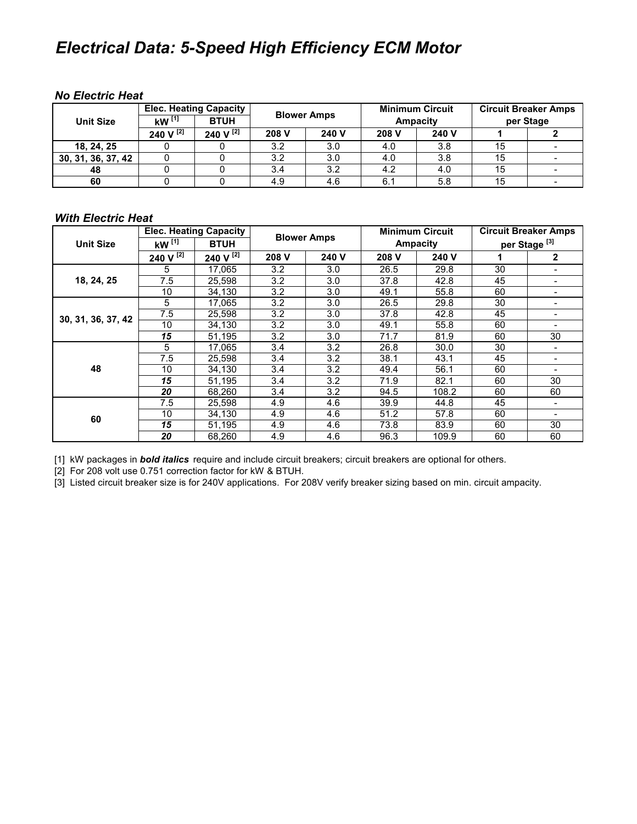### *Electrical Data: 5-Speed High Efficiency ECM Motor*

#### *No Electric Heat*

| <b>Unit Size</b>   | $kW$ <sup>[1]</sup> | <b>Elec. Heating Capacity</b><br><b>BTUH</b> | <b>Blower Amps</b> |       | <b>Minimum Circuit</b><br>Ampacity |       | <b>Circuit Breaker Amps</b><br>per Stage |  |
|--------------------|---------------------|----------------------------------------------|--------------------|-------|------------------------------------|-------|------------------------------------------|--|
|                    | 240 V [2]           | 240 V [2]                                    | 208 V              | 240 V | 208 V                              | 240 V |                                          |  |
| 18, 24, 25         |                     |                                              | 3.2                | 3.0   | 4.0                                | 3.8   | 15                                       |  |
| 30, 31, 36, 37, 42 |                     |                                              | 3.2                | 3.0   | 4.0                                | 3.8   | 15                                       |  |
| 48                 |                     |                                              | 3.4                | 3.2   | 4.2                                | 4.0   | 15                                       |  |
| 60                 |                     |                                              | 4.9                | 4.6   | 6.1                                | 5.8   | 15                                       |  |

#### *With Electric Heat*

| <b>Unit Size</b>   | <b>Elec. Heating Capacity</b> |                | <b>Blower Amps</b> |       | <b>Minimum Circuit</b> |       | <b>Circuit Breaker Amps</b> |                          |
|--------------------|-------------------------------|----------------|--------------------|-------|------------------------|-------|-----------------------------|--------------------------|
|                    | kW $^{[1]}$                   | <b>BTUH</b>    |                    |       | <b>Ampacity</b>        |       | per Stage <sup>[3]</sup>    |                          |
|                    | 240 V $^{[2]}$                | 240 V $^{[2]}$ | 208 V              | 240 V | 208 V                  | 240 V |                             | 2                        |
| 18, 24, 25         | 5                             | 17.065         | 3.2                | 3.0   | 26.5                   | 29.8  | 30                          |                          |
|                    | 7.5                           | 25,598         | 3.2                | 3.0   | 37.8                   | 42.8  | 45                          |                          |
|                    | 10                            | 34.130         | 3.2                | 3.0   | 49.1                   | 55.8  | 60                          |                          |
| 30, 31, 36, 37, 42 | 5                             | 17.065         | 3.2                | 3.0   | 26.5                   | 29.8  | 30                          |                          |
|                    | 7.5                           | 25.598         | 3.2                | 3.0   | 37.8                   | 42.8  | 45                          |                          |
|                    | 10                            | 34.130         | 3.2                | 3.0   | 49.1                   | 55.8  | 60                          | -                        |
|                    | 15                            | 51.195         | 3.2                | 3.0   | 71.7                   | 81.9  | 60                          | 30                       |
|                    | 5                             | 17.065         | 3.4                | 3.2   | 26.8                   | 30.0  | 30                          |                          |
|                    | 7.5                           | 25,598         | 3.4                | 3.2   | 38.1                   | 43.1  | 45                          | $\overline{\phantom{0}}$ |
| 48                 | 10                            | 34,130         | 3.4                | 3.2   | 49.4                   | 56.1  | 60                          |                          |
|                    | 15                            | 51.195         | 3.4                | 3.2   | 71.9                   | 82.1  | 60                          | 30                       |
|                    | 20                            | 68,260         | 3.4                | 3.2   | 94.5                   | 108.2 | 60                          | 60                       |
| 60                 | 7.5                           | 25,598         | 4.9                | 4.6   | 39.9                   | 44.8  | 45                          |                          |
|                    | 10                            | 34,130         | 4.9                | 4.6   | 51.2                   | 57.8  | 60                          |                          |
|                    | 15                            | 51,195         | 4.9                | 4.6   | 73.8                   | 83.9  | 60                          | 30                       |
|                    | 20                            | 68,260         | 4.9                | 4.6   | 96.3                   | 109.9 | 60                          | 60                       |

[1] kW packages in *bold italics* require and include circuit breakers; circuit breakers are optional for others.

[2] For 208 volt use 0.751 correction factor for kW & BTUH.

[3] Listed circuit breaker size is for 240V applications. For 208V verify breaker sizing based on min. circuit ampacity.